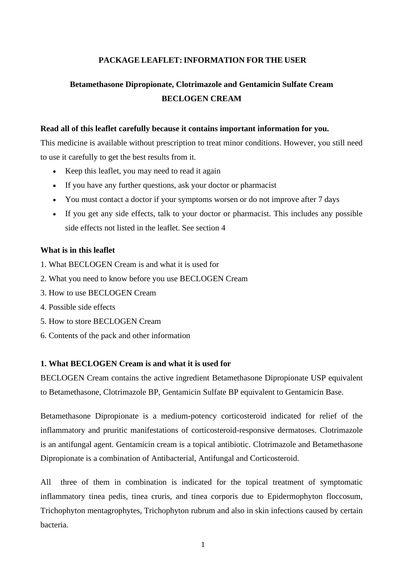# **PACKAGE LEAFLET:INFORMATION FOR THE USER**

# **Betamethasone Dipropionate, Clotrimazole and Gentamicin Sulfate Cream BECLOGEN CREAM**

### **Read all of this leaflet carefully because it contains important information for you.**

This medicine is available without prescription to treat minor conditions. However, you still need to use it carefully to get the best results from it.

- Keep this leaflet, you may need to read it again
- If you have any further questions, ask your doctor or pharmacist
- You must contact a doctor if your symptoms worsen or do not improve after 7 days
- If you get any side effects, talk to your doctor or pharmacist. This includes any possible side effects not listed in the leaflet. See section 4

### **What is in this leaflet**

- 1. What BECLOGEN Cream is and what it is used for
- 2. What you need to know before you use BECLOGEN Cream
- 3. How to use BECLOGEN Cream
- 4. Possible side effects
- 5. How to store BECLOGEN Cream
- 6. Contents of the pack and other information

# **1. What BECLOGEN Cream is and what it is used for**

BECLOGEN Cream contains the active ingredient Betamethasone Dipropionate USP equivalent to Betamethasone, Clotrimazole BP, Gentamicin Sulfate BP equivalent to Gentamicin Base.

Betamethasone Dipropionate is a medium-potency corticosteroid indicated for relief of the inflammatory and pruritic manifestations of corticosteroid-responsive dermatoses. Clotrimazole is an antifungal agent. Gentamicin cream is a topical antibiotic. Clotrimazole and Betamethasone Dipropionate is a combination of Antibacterial, Antifungal and Corticosteroid.

All three of them in combination is indicated for the topical treatment of symptomatic inflammatory tinea pedis, tinea cruris, and tinea corporis due to Epidermophyton floccosum, Trichophyton mentagrophytes, Trichophyton rubrum and also in skin infections caused by certain bacteria.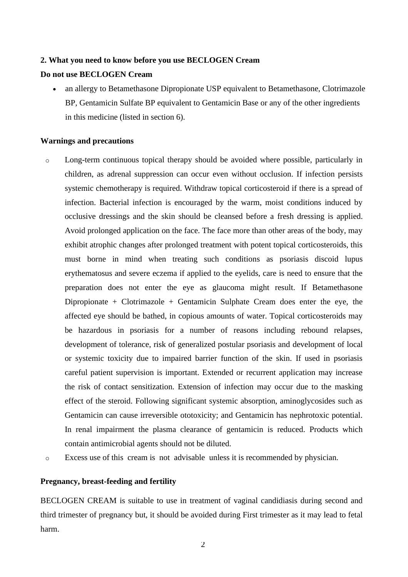#### **2. What you need to know before you use BECLOGEN Cream**

### **Do not use BECLOGEN Cream**

• an allergy to Betamethasone Dipropionate USP equivalent to Betamethasone, Clotrimazole BP, Gentamicin Sulfate BP equivalent to Gentamicin Base or any of the other ingredients in this medicine (listed in section 6).

#### **Warnings and precautions**

- o Long-term continuous topical therapy should be avoided where possible, particularly in children, as adrenal suppression can occur even without occlusion. If infection persists systemic chemotherapy is required. Withdraw topical corticosteroid if there is a spread of infection. Bacterial infection is encouraged by the warm, moist conditions induced by occlusive dressings and the skin should be cleansed before a fresh dressing is applied. Avoid prolonged application on the face. The face more than other areas of the body, may exhibit atrophic changes after prolonged treatment with potent topical corticosteroids, this must borne in mind when treating such conditions as psoriasis discoid lupus erythematosus and severe eczema if applied to the eyelids, care is need to ensure that the preparation does not enter the eye as glaucoma might result. If Betamethasone Dipropionate + Clotrimazole + Gentamicin Sulphate Cream does enter the eye, the affected eye should be bathed, in copious amounts of water. Topical corticosteroids may be hazardous in psoriasis for a number of reasons including rebound relapses, development of tolerance, risk of generalized postular psoriasis and development of local or systemic toxicity due to impaired barrier function of the skin. If used in psoriasis careful patient supervision is important. Extended or recurrent application may increase the risk of contact sensitization. Extension of infection may occur due to the masking effect of the steroid. Following significant systemic absorption, aminoglycosides such as Gentamicin can cause irreversible ototoxicity; and Gentamicin has nephrotoxic potential. In renal impairment the plasma clearance of gentamicin is reduced. Products which contain antimicrobial agents should not be diluted.
- o Excess use of this cream is not advisable unless it is recommended by physician.

#### **Pregnancy, breast-feeding and fertility**

BECLOGEN CREAM is suitable to use in treatment of vaginal candidiasis during second and third trimester of pregnancy but, it should be avoided during First trimester as it may lead to fetal harm.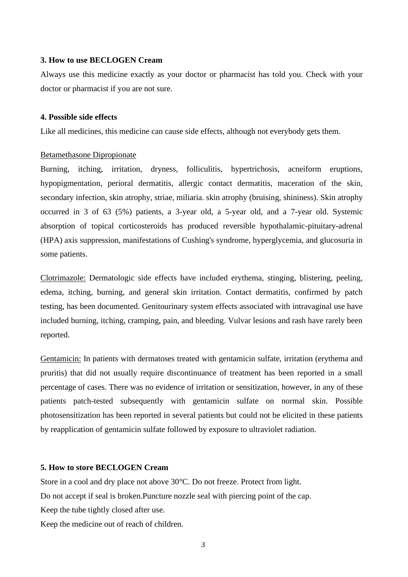#### **3. How to use BECLOGEN Cream**

Always use this medicine exactly as your doctor or pharmacist has told you. Check with your doctor or pharmacist if you are not sure.

### **4. Possible side effects**

Like all medicines, this medicine can cause side effects, although not everybody gets them.

### Betamethasone Dipropionate

Burning, itching, irritation, dryness, folliculitis, hypertrichosis, acneiform eruptions, hypopigmentation, perioral dermatitis, allergic contact dermatitis, maceration of the skin, secondary infection, skin atrophy, striae, miliaria. skin atrophy (bruising, shininess). Skin atrophy occurred in 3 of 63 (5%) patients, a 3-year old, a 5-year old, and a 7-year old. Systemic absorption of topical corticosteroids has produced reversible hypothalamic-pituitary-adrenal (HPA) axis suppression, manifestations of Cushing's syndrome, hyperglycemia, and glucosuria in some patients.

Clotrimazole: Dermatologic side effects have included erythema, stinging, blistering, peeling, edema, itching, burning, and general skin irritation. Contact dermatitis, confirmed by patch testing, has been documented. Genitourinary system effects associated with intravaginal use have included burning, itching, cramping, pain, and bleeding. Vulvar lesions and rash have rarely been reported.

Gentamicin: In patients with dermatoses treated with gentamicin sulfate, irritation (erythema and pruritis) that did not usually require discontinuance of treatment has been reported in a small percentage of cases. There was no evidence of irritation or sensitization, however, in any of these patients patch-tested subsequently with gentamicin sulfate on normal skin. Possible photosensitization has been reported in several patients but could not be elicited in these patients by reapplication of gentamicin sulfate followed by exposure to ultraviolet radiation.

#### **5. How to store BECLOGEN Cream**

Store in a cool and dry place not above 30°C. Do not freeze. Protect from light.

Do not accept if seal is broken.Puncture nozzle seal with piercing point of the cap.

Keep the tube tightly closed after use.

Keep the medicine out of reach of children.